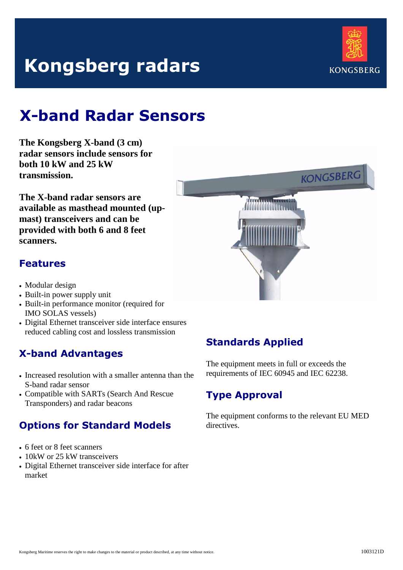# **Kongsberg radars**



# **X-band Radar Sensors**

**The Kongsberg X-band (3 cm) radar sensors include sensors for both 10 kW and 25 kW transmission.** 

**The X-band radar sensors are available as masthead mounted (upmast) transceivers and can be provided with both 6 and 8 feet scanners.**

## **Features**

- Modular design
- Built-in power supply unit
- Built-in performance monitor (required for IMO SOLAS vessels)
- Digital Ethernet transceiver side interface ensures reduced cabling cost and lossless transmission

# **X-band Advantages**

- Increased resolution with a smaller antenna than the S-band radar sensor
- Compatible with SARTs (Search And Rescue Transponders) and radar beacons

# **Options for Standard Models**

- 6 feet or 8 feet scanners
- 10kW or 25 kW transceivers
- Digital Ethernet transceiver side interface for after market



# **Standards Applied**

The equipment meets in full or exceeds the requirements of IEC 60945 and IEC 62238.

# **Type Approval**

The equipment conforms to the relevant EU MED directives.